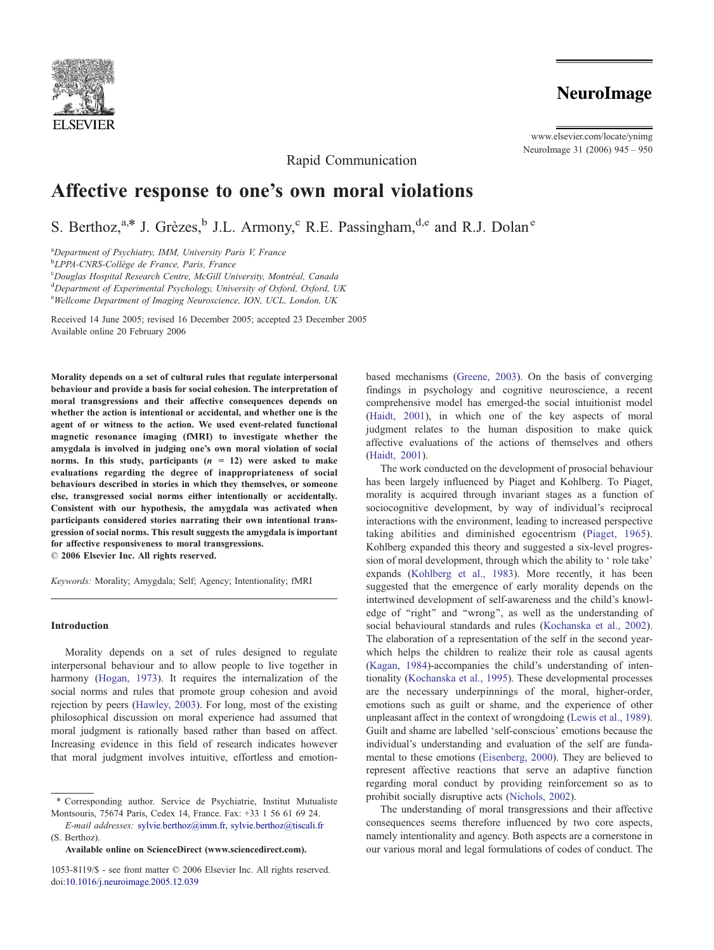

# **NeuroImage**

www.elsevier.com/locate/ynimg NeuroImage 31 (2006) 945 – 950

Rapid Communication

# Affective response to one's own moral violations

S. Berthoz, $a^*$  J. Grèzes, $b^*$  J.L. Armony, $c^$  R.E. Passingham, $d,e$  and R.J. Dolan<sup>e</sup>

<sup>a</sup>Department of Psychiatry, IMM, University Paris V, France

<sup>b</sup>LPPA-CNRS-Collège de France, Paris, France

<sup>c</sup>Douglas Hospital Research Centre, McGill University, Montréal, Canada

<sup>d</sup>Department of Experimental Psychology, University of Oxford, Oxford, UK

eWellcome Department of Imaging Neuroscience, ION, UCL, London, UK

Received 14 June 2005; revised 16 December 2005; accepted 23 December 2005 Available online 20 February 2006

Morality depends on a set of cultural rules that regulate interpersonal behaviour and provide a basis for social cohesion. The interpretation of moral transgressions and their affective consequences depends on whether the action is intentional or accidental, and whether one is the agent of or witness to the action. We used event-related functional magnetic resonance imaging (fMRI) to investigate whether the amygdala is involved in judging one's own moral violation of social norms. In this study, participants  $(n = 12)$  were asked to make evaluations regarding the degree of inappropriateness of social behaviours described in stories in which they themselves, or someone else, transgressed social norms either intentionally or accidentally. Consistent with our hypothesis, the amygdala was activated when participants considered stories narrating their own intentional transgression of social norms. This result suggests the amygdala is important for affective responsiveness to moral transgressions.  $© 2006 Elsevier Inc. All rights reserved.$ 

Keywords: Morality; Amygdala; Self; Agency; Intentionality; fMRI

#### Introduction

Morality depends on a set of rules designed to regulate interpersonal behaviour and to allow people to live together in harmony ([Hogan, 1973\)](#page-5-0). It requires the internalization of the social norms and rules that promote group cohesion and avoid rejection by peers ([Hawley, 2003\)](#page-5-0). For long, most of the existing philosophical discussion on moral experience had assumed that moral judgment is rationally based rather than based on affect. Increasing evidence in this field of research indicates however that moral judgment involves intuitive, effortless and emotion-

\* Corresponding author. Service de Psychiatrie, Institut Mutualiste Montsouris, 75674 Paris, Cedex 14, France. Fax: +33 1 56 61 69 24.

E-mail addresses: sylvie.berthoz@imm.fr, [sylvie.berthoz@tiscali.fr](mailto:sylvie.berthoz@imm.fr, sylvie.berthoz@tiscali.fr) (S. Berthoz).

Available online on ScienceDirect ([www.sciencedirect.com](http://www.sciencedirect.com)).

based mechanisms ([Greene, 2003\)](#page-5-0). On the basis of converging findings in psychology and cognitive neuroscience, a recent comprehensive model has emerged-the social intuitionist model ([Haidt, 2001\)](#page-5-0), in which one of the key aspects of moral judgment relates to the human disposition to make quick affective evaluations of the actions of themselves and others ([Haidt, 2001\)](#page-5-0).

The work conducted on the development of prosocial behaviour has been largely influenced by Piaget and Kohlberg. To Piaget, morality is acquired through invariant stages as a function of sociocognitive development, by way of individual's reciprocal interactions with the environment, leading to increased perspective taking abilities and diminished egocentrism ([Piaget, 1965\)](#page-5-0). Kohlberg expanded this theory and suggested a six-level progression of moral development, through which the ability to 'role take' expands ([Kohlberg et al., 1983\)](#page-5-0). More recently, it has been suggested that the emergence of early morality depends on the intertwined development of self-awareness and the child's knowledge of "right" and "wrong", as well as the understanding of social behavioural standards and rules ([Kochanska et al., 2002\)](#page-5-0). The elaboration of a representation of the self in the second yearwhich helps the children to realize their role as causal agents ([Kagan, 1984\)](#page-5-0)-accompanies the child's understanding of intentionality ([Kochanska et al., 1995\)](#page-5-0). These developmental processes are the necessary underpinnings of the moral, higher-order, emotions such as guilt or shame, and the experience of other unpleasant affect in the context of wrongdoing ([Lewis et al., 1989\)](#page-5-0). Guilt and shame are labelled 'self-conscious' emotions because the individual's understanding and evaluation of the self are fundamental to these emotions ([Eisenberg, 2000\)](#page-5-0). They are believed to represent affective reactions that serve an adaptive function regarding moral conduct by providing reinforcement so as to prohibit socially disruptive acts ([Nichols, 2002\)](#page-5-0).

The understanding of moral transgressions and their affective consequences seems therefore influenced by two core aspects, namely intentionality and agency. Both aspects are a cornerstone in our various moral and legal formulations of codes of conduct. The

<sup>1053-8119/\$ -</sup> see front matter © 2006 Elsevier Inc. All rights reserved. doi:[10.1016/j.neuroimage.2005.12.039](http://dx.doi.org/10.1016/j.neuroimage.2005.12.039)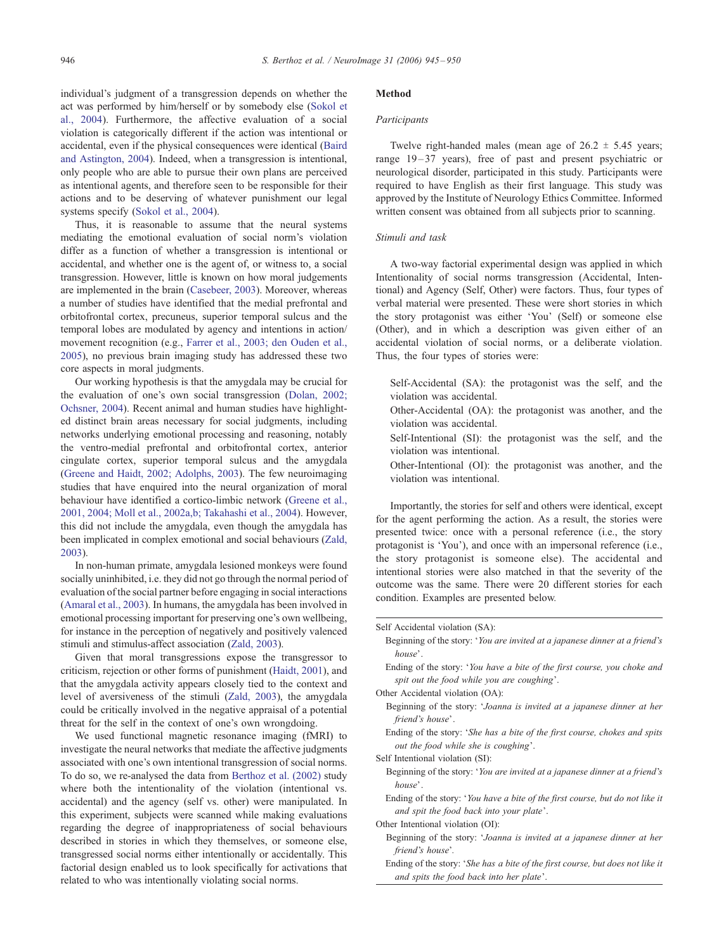individual's judgment of a transgression depends on whether the act was performed by him/herself or by somebody else ([Sokol et](#page-5-0) al., 2004). Furthermore, the affective evaluation of a social violation is categorically different if the action was intentional or accidental, even if the physical consequences were identical ([Baird](#page-4-0) and Astington, 2004). Indeed, when a transgression is intentional, only people who are able to pursue their own plans are perceived as intentional agents, and therefore seen to be responsible for their actions and to be deserving of whatever punishment our legal systems specify ([Sokol et al., 2004\)](#page-5-0).

Thus, it is reasonable to assume that the neural systems mediating the emotional evaluation of social norm's violation differ as a function of whether a transgression is intentional or accidental, and whether one is the agent of, or witness to, a social transgression. However, little is known on how moral judgements are implemented in the brain ([Casebeer, 2003\)](#page-5-0). Moreover, whereas a number of studies have identified that the medial prefrontal and orbitofrontal cortex, precuneus, superior temporal sulcus and the temporal lobes are modulated by agency and intentions in action/ movement recognition (e.g., [Farrer et al., 2003; den Ouden et al.,](#page-5-0) 2005), no previous brain imaging study has addressed these two core aspects in moral judgments.

Our working hypothesis is that the amygdala may be crucial for the evaluation of one's own social transgression ([Dolan, 2002;](#page-5-0) Ochsner, 2004). Recent animal and human studies have highlighted distinct brain areas necessary for social judgments, including networks underlying emotional processing and reasoning, notably the ventro-medial prefrontal and orbitofrontal cortex, anterior cingulate cortex, superior temporal sulcus and the amygdala ([Greene and Haidt, 2002; Adolphs, 2003\)](#page-5-0). The few neuroimaging studies that have enquired into the neural organization of moral behaviour have identified a cortico-limbic network ([Greene et al.,](#page-5-0) 2001, 2004; Moll et al., 2002a,b; [Takahashi et al., 2004\)](#page-5-0). However, this did not include the amygdala, even though the amygdala has been implicated in complex emotional and social behaviours ([Zald,](#page-5-0) 2003).

In non-human primate, amygdala lesioned monkeys were found socially uninhibited, i.e. they did not go through the normal period of evaluation of the social partner before engaging in social interactions ([Amaral et al., 2003\)](#page-4-0). In humans, the amygdala has been involved in emotional processing important for preserving one's own wellbeing, for instance in the perception of negatively and positively valenced stimuli and stimulus-affect association ([Zald, 2003\)](#page-5-0).

Given that moral transgressions expose the transgressor to criticism, rejection or other forms of punishment ([Haidt, 2001\)](#page-5-0), and that the amygdala activity appears closely tied to the context and level of aversiveness of the stimuli ([Zald, 2003\)](#page-5-0), the amygdala could be critically involved in the negative appraisal of a potential threat for the self in the context of one's own wrongdoing.

We used functional magnetic resonance imaging (fMRI) to investigate the neural networks that mediate the affective judgments associated with one's own intentional transgression of social norms. To do so, we re-analysed the data from [Berthoz et al. \(2002\)](#page-5-0) study where both the intentionality of the violation (intentional vs. accidental) and the agency (self vs. other) were manipulated. In this experiment, subjects were scanned while making evaluations regarding the degree of inappropriateness of social behaviours described in stories in which they themselves, or someone else, transgressed social norms either intentionally or accidentally. This factorial design enabled us to look specifically for activations that related to who was intentionally violating social norms.

#### Method

#### Participants

Twelve right-handed males (mean age of  $26.2 \pm 5.45$  years; range 19–37 years), free of past and present psychiatric or neurological disorder, participated in this study. Participants were required to have English as their first language. This study was approved by the Institute of Neurology Ethics Committee. Informed written consent was obtained from all subjects prior to scanning.

## Stimuli and task

A two-way factorial experimental design was applied in which Intentionality of social norms transgression (Accidental, Intentional) and Agency (Self, Other) were factors. Thus, four types of verbal material were presented. These were short stories in which the story protagonist was either 'You' (Self) or someone else (Other), and in which a description was given either of an accidental violation of social norms, or a deliberate violation. Thus, the four types of stories were:

Self-Accidental (SA): the protagonist was the self, and the violation was accidental.

Other-Accidental (OA): the protagonist was another, and the violation was accidental.

Self-Intentional (SI): the protagonist was the self, and the violation was intentional.

Other-Intentional (OI): the protagonist was another, and the violation was intentional.

Importantly, the stories for self and others were identical, except for the agent performing the action. As a result, the stories were presented twice: once with a personal reference (i.e., the story protagonist is 'You'), and once with an impersonal reference (i.e., the story protagonist is someone else). The accidental and intentional stories were also matched in that the severity of the outcome was the same. There were 20 different stories for each condition. Examples are presented below.

Self Accidental violation (SA):

Beginning of the story: 'You are invited at a japanese dinner at a friend's house'.

Ending of the story: 'You have a bite of the first course, you choke and spit out the food while you are coughing'.

Other Accidental violation (OA):

- Beginning of the story: 'Joanna is invited at a japanese dinner at her friend's house'.
- Ending of the story: 'She has a bite of the first course, chokes and spits out the food while she is coughing'.

Self Intentional violation (SI):

Beginning of the story: 'You are invited at a japanese dinner at a friend's house'.

Ending of the story: 'You have a bite of the first course, but do not like it and spit the food back into your plate'.

Other Intentional violation (OI):

Beginning of the story: 'Joanna is invited at a japanese dinner at her friend's house'.

Ending of the story: 'She has a bite of the first course, but does not like it and spits the food back into her plate'.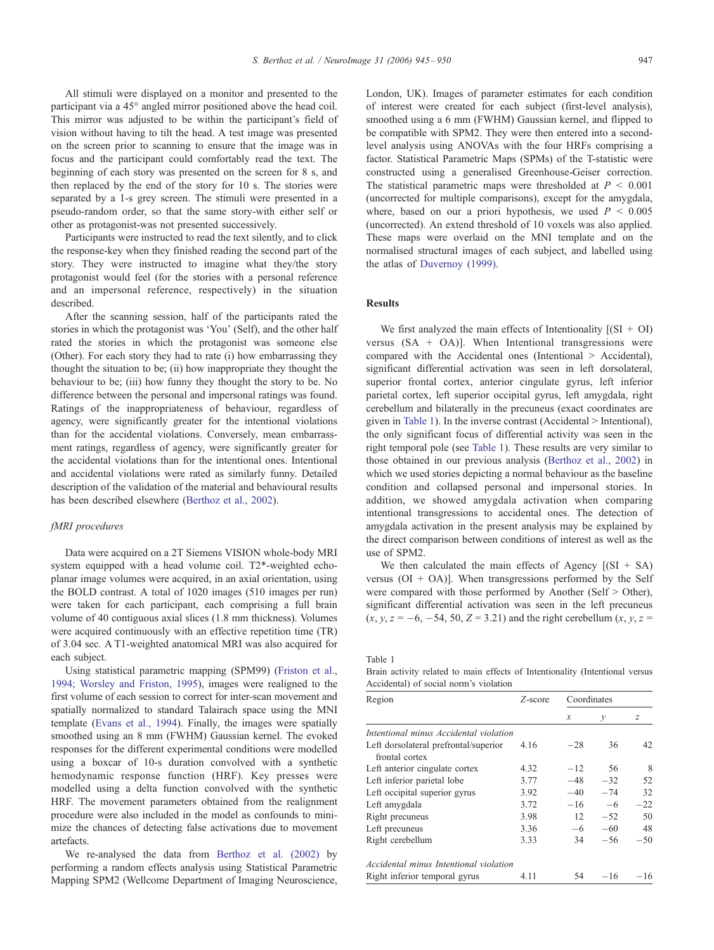All stimuli were displayed on a monitor and presented to the participant via a 45° angled mirror positioned above the head coil. This mirror was adjusted to be within the participant's field of vision without having to tilt the head. A test image was presented on the screen prior to scanning to ensure that the image was in focus and the participant could comfortably read the text. The beginning of each story was presented on the screen for 8 s, and then replaced by the end of the story for 10 s. The stories were separated by a 1-s grey screen. The stimuli were presented in a pseudo-random order, so that the same story-with either self or other as protagonist-was not presented successively.

Participants were instructed to read the text silently, and to click the response-key when they finished reading the second part of the story. They were instructed to imagine what they/the story protagonist would feel (for the stories with a personal reference and an impersonal reference, respectively) in the situation described.

After the scanning session, half of the participants rated the stories in which the protagonist was 'You' (Self), and the other half rated the stories in which the protagonist was someone else (Other). For each story they had to rate (i) how embarrassing they thought the situation to be; (ii) how inappropriate they thought the behaviour to be; (iii) how funny they thought the story to be. No difference between the personal and impersonal ratings was found. Ratings of the inappropriateness of behaviour, regardless of agency, were significantly greater for the intentional violations than for the accidental violations. Conversely, mean embarrassment ratings, regardless of agency, were significantly greater for the accidental violations than for the intentional ones. Intentional and accidental violations were rated as similarly funny. Detailed description of the validation of the material and behavioural results has been described elsewhere ([Berthoz et al., 2002\)](#page-5-0).

### fMRI procedures

Data were acquired on a 2T Siemens VISION whole-body MRI system equipped with a head volume coil. T2\*-weighted echoplanar image volumes were acquired, in an axial orientation, using the BOLD contrast. A total of 1020 images (510 images per run) were taken for each participant, each comprising a full brain volume of 40 contiguous axial slices (1.8 mm thickness). Volumes were acquired continuously with an effective repetition time (TR) of 3.04 sec. A T1-weighted anatomical MRI was also acquired for each subject.

Using statistical parametric mapping (SPM99) ([Friston et al.,](#page-5-0) 1994; Worsley and Friston, 1995), images were realigned to the first volume of each session to correct for inter-scan movement and spatially normalized to standard Talairach space using the MNI template ([Evans et al., 1994\)](#page-5-0). Finally, the images were spatially smoothed using an 8 mm (FWHM) Gaussian kernel. The evoked responses for the different experimental conditions were modelled using a boxcar of 10-s duration convolved with a synthetic hemodynamic response function (HRF). Key presses were modelled using a delta function convolved with the synthetic HRF. The movement parameters obtained from the realignment procedure were also included in the model as confounds to minimize the chances of detecting false activations due to movement artefacts.

We re-analysed the data from [Berthoz et al. \(2002\)](#page-5-0) by performing a random effects analysis using Statistical Parametric Mapping SPM2 (Wellcome Department of Imaging Neuroscience, London, UK). Images of parameter estimates for each condition of interest were created for each subject (first-level analysis), smoothed using a 6 mm (FWHM) Gaussian kernel, and flipped to be compatible with SPM2. They were then entered into a secondlevel analysis using ANOVAs with the four HRFs comprising a factor. Statistical Parametric Maps (SPMs) of the T-statistic were constructed using a generalised Greenhouse-Geiser correction. The statistical parametric maps were thresholded at  $P < 0.001$ (uncorrected for multiple comparisons), except for the amygdala, where, based on our a priori hypothesis, we used  $P \leq 0.005$ (uncorrected). An extend threshold of 10 voxels was also applied. These maps were overlaid on the MNI template and on the normalised structural images of each subject, and labelled using the atlas of [Duvernoy \(1999\).](#page-5-0)

# Results

We first analyzed the main effects of Intentionality  $[(SI + OI)]$ versus  $(SA + OA)$ ]. When Intentional transgressions were compared with the Accidental ones (Intentional > Accidental), significant differential activation was seen in left dorsolateral, superior frontal cortex, anterior cingulate gyrus, left inferior parietal cortex, left superior occipital gyrus, left amygdala, right cerebellum and bilaterally in the precuneus (exact coordinates are given in Table 1). In the inverse contrast (Accidental > Intentional), the only significant focus of differential activity was seen in the right temporal pole (see Table 1). These results are very similar to those obtained in our previous analysis ([Berthoz et al., 2002\)](#page-5-0) in which we used stories depicting a normal behaviour as the baseline condition and collapsed personal and impersonal stories. In addition, we showed amygdala activation when comparing intentional transgressions to accidental ones. The detection of amygdala activation in the present analysis may be explained by the direct comparison between conditions of interest as well as the use of SPM2.

We then calculated the main effects of Agency  $[(SI + SA)]$ versus ( $O$ I +  $O$ A)]. When transgressions performed by the Self were compared with those performed by Another (Self > Other), significant differential activation was seen in the left precuneus  $(x, y, z = -6, -54, 50, Z = 3.21)$  and the right cerebellum  $(x, y, z = 1)$ 

Table 1

Brain activity related to main effects of Intentionality (Intentional versus Accidental) of social norm's violation

| Region                                                  | Z-score | Coordinates   |              |       |
|---------------------------------------------------------|---------|---------------|--------------|-------|
|                                                         |         | $\mathcal{X}$ | $\mathcal V$ | z     |
| Intentional minus Accidental violation                  |         |               |              |       |
| Left dorsolateral prefrontal/superior<br>frontal cortex | 4.16    | $-28$         | 36           | 42    |
| Left anterior cingulate cortex                          | 4.32    | $-12$         | 56           | 8     |
| Left inferior parietal lobe                             | 3.77    | $-48$         | $-32$        | 52    |
| Left occipital superior gyrus                           | 3.92    | $-40$         | $-74$        | 32    |
| Left amygdala                                           | 3.72    | $-16$         | $-6$         | $-22$ |
| Right precuneus                                         | 3.98    | 12            | $-52$        | 50    |
| Left precuneus                                          | 3.36    | $-6$          | $-60$        | 48    |
| Right cerebellum                                        | 3.33    | 34            | $-56$        | $-50$ |
| Accidental minus Intentional violation                  |         |               |              |       |
| Right inferior temporal gyrus                           | 4.11    | 54            | $-16$        | $-16$ |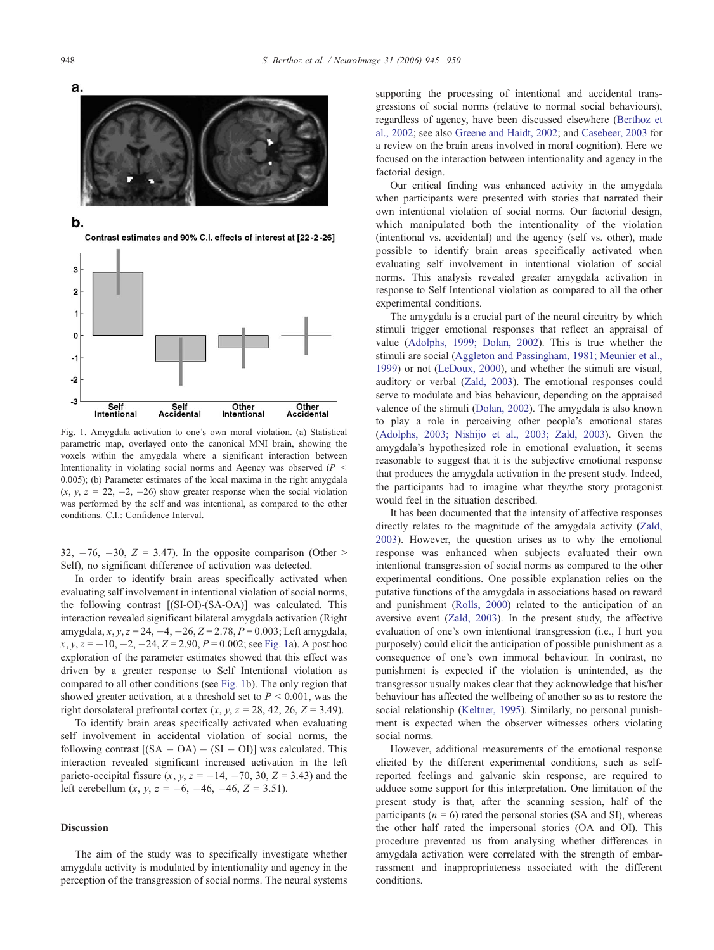



Fig. 1. Amygdala activation to one's own moral violation. (a) Statistical parametric map, overlayed onto the canonical MNI brain, showing the voxels within the amygdala where a significant interaction between Intentionality in violating social norms and Agency was observed  $(P \leq$ 0.005); (b) Parameter estimates of the local maxima in the right amygdala  $(x, y, z = 22, -2, -26)$  show greater response when the social violation was performed by the self and was intentional, as compared to the other conditions. C.I.: Confidence Interval.

Accidental

32,  $-76$ ,  $-30$ ,  $Z = 3.47$ ). In the opposite comparison (Other > Self), no significant difference of activation was detected.

In order to identify brain areas specifically activated when evaluating self involvement in intentional violation of social norms, the following contrast [(SI-OI)-(SA-OA)] was calculated. This interaction revealed significant bilateral amygdala activation (Right amygdala,  $x, y, z = 24, -4, -26, Z = 2.78, P = 0.003$ ; Left amygdala,  $x, y, z = -10, -2, -24, Z = 2.90, P = 0.002$ ; see Fig. 1a). A post hoc exploration of the parameter estimates showed that this effect was driven by a greater response to Self Intentional violation as compared to all other conditions (see Fig. 1b). The only region that showed greater activation, at a threshold set to  $P \leq 0.001$ , was the right dorsolateral prefrontal cortex  $(x, y, z = 28, 42, 26, Z = 3.49)$ .

To identify brain areas specifically activated when evaluating self involvement in accidental violation of social norms, the following contrast  $[(SA - OA) - (SI - OI)]$  was calculated. This interaction revealed significant increased activation in the left parieto-occipital fissure  $(x, y, z = -14, -70, 30, Z = 3.43)$  and the left cerebellum  $(x, y, z = -6, -46, -46, Z = 3.51)$ .

## Discussion

The aim of the study was to specifically investigate whether amygdala activity is modulated by intentionality and agency in the perception of the transgression of social norms. The neural systems supporting the processing of intentional and accidental transgressions of social norms (relative to normal social behaviours), regardless of agency, have been discussed elsewhere ([Berthoz et](#page-5-0) al., 2002; see also [Greene and Haidt, 2002;](#page-5-0) and [Casebeer, 2003](#page-5-0) for a review on the brain areas involved in moral cognition). Here we focused on the interaction between intentionality and agency in the factorial design.

Our critical finding was enhanced activity in the amygdala when participants were presented with stories that narrated their own intentional violation of social norms. Our factorial design, which manipulated both the intentionality of the violation (intentional vs. accidental) and the agency (self vs. other), made possible to identify brain areas specifically activated when evaluating self involvement in intentional violation of social norms. This analysis revealed greater amygdala activation in response to Self Intentional violation as compared to all the other experimental conditions.

The amygdala is a crucial part of the neural circuitry by which stimuli trigger emotional responses that reflect an appraisal of value ([Adolphs, 1999; Dolan, 2002\)](#page-4-0). This is true whether the stimuli are social ([Aggleton and Passingham, 1981; Meunier et al.,](#page-4-0) 1999) or not ([LeDoux, 2000\)](#page-5-0), and whether the stimuli are visual, auditory or verbal ([Zald, 2003\)](#page-5-0). The emotional responses could serve to modulate and bias behaviour, depending on the appraised valence of the stimuli ([Dolan, 2002\)](#page-5-0). The amygdala is also known to play a role in perceiving other people's emotional states ([Adolphs, 2003; Nishijo et al., 2003; Zald, 2003\)](#page-4-0). Given the amygdala's hypothesized role in emotional evaluation, it seems reasonable to suggest that it is the subjective emotional response that produces the amygdala activation in the present study. Indeed, the participants had to imagine what they/the story protagonist would feel in the situation described.

It has been documented that the intensity of affective responses directly relates to the magnitude of the amygdala activity ([Zald,](#page-5-0) 2003). However, the question arises as to why the emotional response was enhanced when subjects evaluated their own intentional transgression of social norms as compared to the other experimental conditions. One possible explanation relies on the putative functions of the amygdala in associations based on reward and punishment ([Rolls, 2000\)](#page-5-0) related to the anticipation of an aversive event ([Zald, 2003\)](#page-5-0). In the present study, the affective evaluation of one's own intentional transgression (i.e., I hurt you purposely) could elicit the anticipation of possible punishment as a consequence of one's own immoral behaviour. In contrast, no punishment is expected if the violation is unintended, as the transgressor usually makes clear that they acknowledge that his/her behaviour has affected the wellbeing of another so as to restore the social relationship ([Keltner, 1995\)](#page-5-0). Similarly, no personal punishment is expected when the observer witnesses others violating social norms.

However, additional measurements of the emotional response elicited by the different experimental conditions, such as selfreported feelings and galvanic skin response, are required to adduce some support for this interpretation. One limitation of the present study is that, after the scanning session, half of the participants ( $n = 6$ ) rated the personal stories (SA and SI), whereas the other half rated the impersonal stories (OA and OI). This procedure prevented us from analysing whether differences in amygdala activation were correlated with the strength of embarrassment and inappropriateness associated with the different conditions.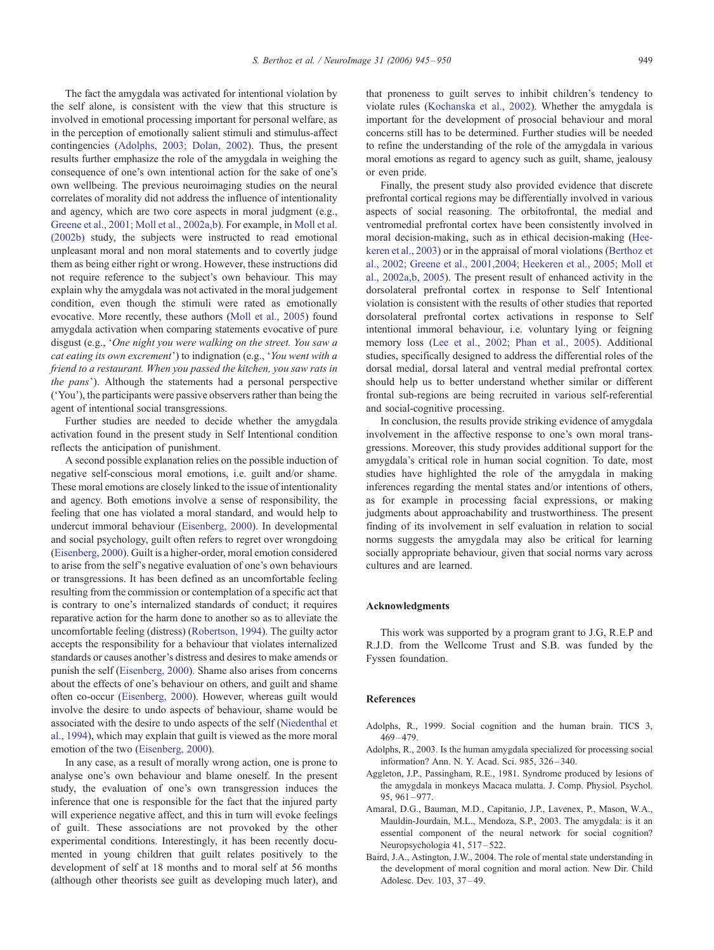<span id="page-4-0"></span>The fact the amygdala was activated for intentional violation by the self alone, is consistent with the view that this structure is involved in emotional processing important for personal welfare, as in the perception of emotionally salient stimuli and stimulus-affect contingencies (Adolphs, 2003; Dolan, 2002). Thus, the present results further emphasize the role of the amygdala in weighing the consequence of one's own intentional action for the sake of one's own wellbeing. The previous neuroimaging studies on the neural correlates of morality did not address the influence of intentionality and agency, which are two core aspects in moral judgment (e.g., [Greene et al., 2001; Moll et al., 2002a,b\)](#page-5-0). For example, in [Moll et al.](#page-5-0) (2002b) study, the subjects were instructed to read emotional unpleasant moral and non moral statements and to covertly judge them as being either right or wrong. However, these instructions did not require reference to the subject's own behaviour. This may explain why the amygdala was not activated in the moral judgement condition, even though the stimuli were rated as emotionally evocative. More recently, these authors ([Moll et al., 2005\)](#page-5-0) found amygdala activation when comparing statements evocative of pure disgust (e.g., 'One night you were walking on the street. You saw a cat eating its own excrement') to indignation (e.g., 'You went with a friend to a restaurant. When you passed the kitchen, you saw rats in the pans'). Although the statements had a personal perspective ('You'), the participants were passive observers rather than being the agent of intentional social transgressions.

Further studies are needed to decide whether the amygdala activation found in the present study in Self Intentional condition reflects the anticipation of punishment.

A second possible explanation relies on the possible induction of negative self-conscious moral emotions, i.e. guilt and/or shame. These moral emotions are closely linked to the issue of intentionality and agency. Both emotions involve a sense of responsibility, the feeling that one has violated a moral standard, and would help to undercut immoral behaviour ([Eisenberg, 2000\)](#page-5-0). In developmental and social psychology, guilt often refers to regret over wrongdoing ([Eisenberg, 2000\)](#page-5-0). Guilt is a higher-order, moral emotion considered to arise from the self's negative evaluation of one's own behaviours or transgressions. It has been defined as an uncomfortable feeling resulting from the commission or contemplation of a specific act that is contrary to one's internalized standards of conduct; it requires reparative action for the harm done to another so as to alleviate the uncomfortable feeling (distress) ([Robertson, 1994\)](#page-5-0). The guilty actor accepts the responsibility for a behaviour that violates internalized standards or causes another's distress and desires to make amends or punish the self ([Eisenberg, 2000\)](#page-5-0). Shame also arises from concerns about the effects of one's behaviour on others, and guilt and shame often co-occur ([Eisenberg, 2000\)](#page-5-0). However, whereas guilt would involve the desire to undo aspects of behaviour, shame would be associated with the desire to undo aspects of the self ([Niedenthal et](#page-5-0) al., 1994), which may explain that guilt is viewed as the more moral emotion of the two ([Eisenberg, 2000\)](#page-5-0).

In any case, as a result of morally wrong action, one is prone to analyse one's own behaviour and blame oneself. In the present study, the evaluation of one's own transgression induces the inference that one is responsible for the fact that the injured party will experience negative affect, and this in turn will evoke feelings of guilt. These associations are not provoked by the other experimental conditions. Interestingly, it has been recently documented in young children that guilt relates positively to the development of self at 18 months and to moral self at 56 months (although other theorists see guilt as developing much later), and

that proneness to guilt serves to inhibit children's tendency to violate rules ([Kochanska et al., 2002\)](#page-5-0). Whether the amygdala is important for the development of prosocial behaviour and moral concerns still has to be determined. Further studies will be needed to refine the understanding of the role of the amygdala in various moral emotions as regard to agency such as guilt, shame, jealousy or even pride.

Finally, the present study also provided evidence that discrete prefrontal cortical regions may be differentially involved in various aspects of social reasoning. The orbitofrontal, the medial and ventromedial prefrontal cortex have been consistently involved in moral decision-making, such as in ethical decision-making ([Hee](#page-5-0)keren et al., 2003) or in the appraisal of moral violations ([Berthoz et](#page-5-0) al., 2002; Greene et al., 2001,2004; Heekeren et al., 2005; Moll et al., 2002a,b, 2005). The present result of enhanced activity in the dorsolateral prefrontal cortex in response to Self Intentional violation is consistent with the results of other studies that reported dorsolateral prefrontal cortex activations in response to Self intentional immoral behaviour, i.e. voluntary lying or feigning memory loss ([Lee et al., 2002; Phan et al., 2005\)](#page-5-0). Additional studies, specifically designed to address the differential roles of the dorsal medial, dorsal lateral and ventral medial prefrontal cortex should help us to better understand whether similar or different frontal sub-regions are being recruited in various self-referential and social-cognitive processing.

In conclusion, the results provide striking evidence of amygdala involvement in the affective response to one's own moral transgressions. Moreover, this study provides additional support for the amygdala's critical role in human social cognition. To date, most studies have highlighted the role of the amygdala in making inferences regarding the mental states and/or intentions of others, as for example in processing facial expressions, or making judgments about approachability and trustworthiness. The present finding of its involvement in self evaluation in relation to social norms suggests the amygdala may also be critical for learning socially appropriate behaviour, given that social norms vary across cultures and are learned.

### Acknowledgments

This work was supported by a program grant to J.G, R.E.P and R.J.D. from the Wellcome Trust and S.B. was funded by the Fyssen foundation.

#### References

- Adolphs, R., 1999. Social cognition and the human brain. TICS 3,  $469 - 479.$
- Adolphs, R., 2003. Is the human amygdala specialized for processing social information? Ann. N. Y. Acad. Sci. 985, 326 – 340.
- Aggleton, J.P., Passingham, R.E., 1981. Syndrome produced by lesions of the amygdala in monkeys Macaca mulatta. J. Comp. Physiol. Psychol. 95, 961 – 977.
- Amaral, D.G., Bauman, M.D., Capitanio, J.P., Lavenex, P., Mason, W.A., Mauldin-Jourdain, M.L., Mendoza, S.P., 2003. The amygdala: is it an essential component of the neural network for social cognition? Neuropsychologia 41, 517 – 522.
- Baird, J.A., Astington, J.W., 2004. The role of mental state understanding in the development of moral cognition and moral action. New Dir. Child Adolesc. Dev. 103, 37 – 49.